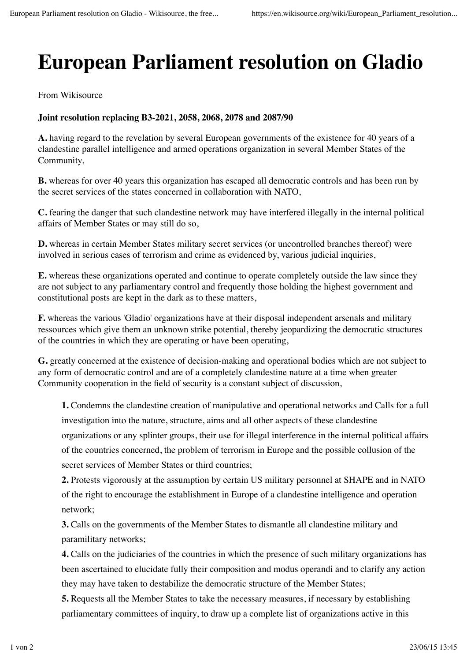## **European Parliament resolution on Gladio**

From Wikisource

## **Joint resolution replacing B3-2021, 2058, 2068, 2078 and 2087/90**

**A.** having regard to the revelation by several European governments of the existence for 40 years of a clandestine parallel intelligence and armed operations organization in several Member States of the Community,

**B.** whereas for over 40 years this organization has escaped all democratic controls and has been run by the secret services of the states concerned in collaboration with NATO,

**C.** fearing the danger that such clandestine network may have interfered illegally in the internal political affairs of Member States or may still do so,

**D.** whereas in certain Member States military secret services (or uncontrolled branches thereof) were involved in serious cases of terrorism and crime as evidenced by, various judicial inquiries,

**E.** whereas these organizations operated and continue to operate completely outside the law since they are not subject to any parliamentary control and frequently those holding the highest government and constitutional posts are kept in the dark as to these matters,

**F.** whereas the various 'Gladio' organizations have at their disposal independent arsenals and military ressources which give them an unknown strike potential, thereby jeopardizing the democratic structures of the countries in which they are operating or have been operating,

**G.** greatly concerned at the existence of decision-making and operational bodies which are not subject to any form of democratic control and are of a completely clandestine nature at a time when greater Community cooperation in the field of security is a constant subject of discussion,

**1.** Condemns the clandestine creation of manipulative and operational networks and Calls for a full investigation into the nature, structure, aims and all other aspects of these clandestine

organizations or any splinter groups, their use for illegal interference in the internal political affairs of the countries concerned, the problem of terrorism in Europe and the possible collusion of the secret services of Member States or third countries;

**2.** Protests vigorously at the assumption by certain US military personnel at SHAPE and in NATO of the right to encourage the establishment in Europe of a clandestine intelligence and operation network;

**3.** Calls on the governments of the Member States to dismantle all clandestine military and paramilitary networks;

**4.** Calls on the judiciaries of the countries in which the presence of such military organizations has been ascertained to elucidate fully their composition and modus operandi and to clarify any action they may have taken to destabilize the democratic structure of the Member States;

**5.** Requests all the Member States to take the necessary measures, if necessary by establishing parliamentary committees of inquiry, to draw up a complete list of organizations active in this